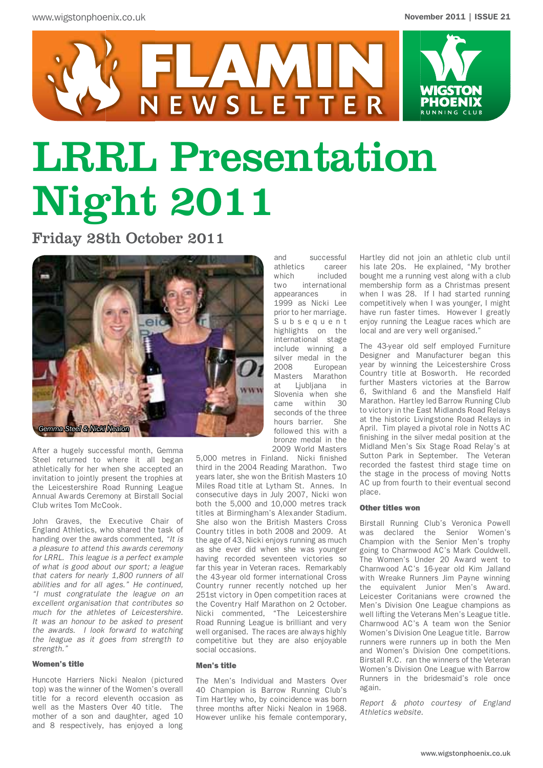

# LRRL Presentation Night 2011

FLAMIN

N E W S L E T T E R

Friday 28th October 2011



After a hugely successful month, Gemma Steel returned to where it all began athletically for her when she accepted an invitation to jointly present the trophies at the Leicestershire Road Running League Annual Awards Ceremony at Birstall Social Club writes Tom McCook.

John Graves, the Executive Chair of England Athletics, who shared the task of handing over the awards commented, *"It is a pleasure to attend this awards ceremony for LRRL. This league is a perfect example of what is good about our sport; a league that caters for nearly 1,800 runners of all abilities and for all ages." He continued, "I must congratulate the league on an excellent organisation that contributes so much for the athletes of Leicestershire. It was an honour to be asked to present the awards. I look forward to watching the league as it goes from strength to strength."*

### Women's title

Huncote Harriers Nicki Nealon (pictured top) was the winner of the Women's overall title for a record eleventh occasion as well as the Masters Over 40 title. The mother of a son and daughter, aged 10 and 8 respectively, has enjoyed a long

and successful<br>athletics career athletics which included<br>two international international appearances in 1999 as Nicki Lee prior to her marriage. S u b s e q u e n t highlights on the international stage include winning a silver medal in the<br>2008 Furonean 2008 European<br>Masters Marathon Marathon at Ljubljana in Slovenia when she came within 30 seconds of the three hours barrier. She followed this with a bronze medal in the 2009 World Masters

5,000 metres in Finland. Nicki finished third in the 2004 Reading Marathon. Two years later, she won the British Masters 10 Miles Road title at Lytham St. Annes. In consecutive days in July 2007, Nicki won both the 5,000 and 10,000 metres track titles at Birmingham's Alexander Stadium. She also won the British Masters Cross Country titles in both 2008 and 2009. At the age of 43, Nicki enjoys running as much as she ever did when she was younger having recorded seventeen victories so far this year in Veteran races. Remarkably the 43-year old former international Cross Country runner recently notched up her 251st victory in Open competition races at the Coventry Half Marathon on 2 October. Nicki commented, "The Leicestershire Road Running League is brilliant and very well organised. The races are always highly competitive but they are also enjoyable social occasions.

#### Men's title

The Men's Individual and Masters Over 40 Champion is Barrow Running Club's Tim Hartley who, by coincidence was born three months after Nicki Nealon in 1968. However unlike his female contemporary,

Hartley did not join an athletic club until his late 20s. He explained, "My brother bought me a running vest along with a club membership form as a Christmas present when I was 28. If I had started running competitively when I was younger, I might have run faster times. However I greatly enjoy running the League races which are local and are very well organised."

The 43-year old self employed Furniture Designer and Manufacturer began this year by winning the Leicestershire Cross Country title at Bosworth. He recorded further Masters victories at the Barrow 6, Swithland 6 and the Mansfield Half Marathon. Hartley led Barrow Running Club to victory in the East Midlands Road Relays at the historic Livingstone Road Relays in April. Tim played a pivotal role in Notts AC finishing in the silver medal position at the Midland Men's Six Stage Road Relay's at Sutton Park in September. The Veteran recorded the fastest third stage time on the stage in the process of moving Notts AC up from fourth to their eventual second place.

#### Other titles won

Birstall Running Club's Veronica Powell was declared the Senior Women's Champion with the Senior Men's trophy going to Charnwood AC's Mark Couldwell. The Women's Under 20 Award went to Charnwood AC's 16-year old Kim Jalland with Wreake Runners Jim Payne winning the equivalent Junior Men's Award. Leicester Coritanians were crowned the Men's Division One League champions as well lifting the Veterans Men's League title. Charnwood AC's A team won the Senior Women's Division One League title. Barrow runners were runners up in both the Men and Women's Division One competitions. Birstall R.C. ran the winners of the Veteran Women's Division One League with Barrow Runners in the bridesmaid's role once again.

*Report & photo courtesy of England Athletics website.*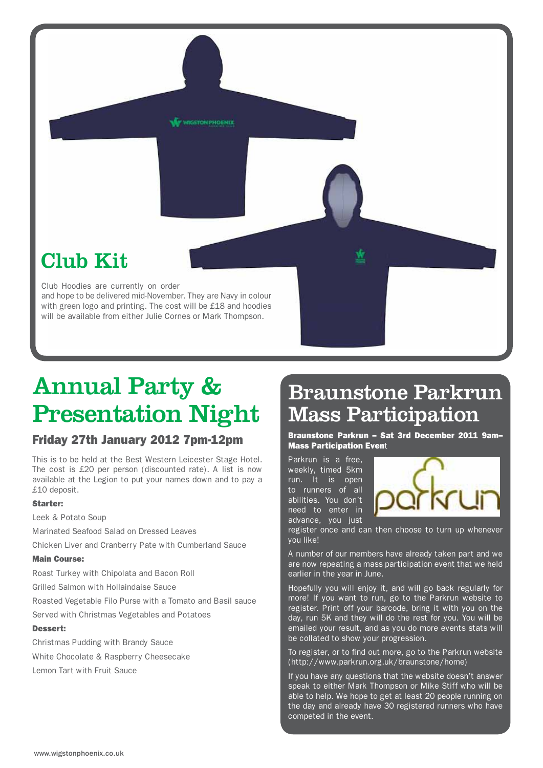

## Annual Party & Presentation Night

### Friday 27th January 2012 7pm-12pm

This is to be held at the Best Western Leicester Stage Hotel. The cost is £20 per person (discounted rate). A list is now available at the Legion to put your names down and to pay a £10 deposit.

### Starter:

Leek & Potato Soup

Marinated Seafood Salad on Dressed Leaves

Chicken Liver and Cranberry Pate with Cumberland Sauce

#### Main Course:

Roast Turkey with Chipolata and Bacon Roll

Grilled Salmon with Hollaindaise Sauce

Roasted Vegetable Filo Purse with a Tomato and Basil sauce

Served with Christmas Vegetables and Potatoes

#### Dessert:

Christmas Pudding with Brandy Sauce White Chocolate & Raspberry Cheesecake Lemon Tart with Fruit Sauce

### Braunstone Parkrun Mass Participation

Braunstone Parkrun – Sat 3rd December 2011 9am– Mass Participation Event

Parkrun is a free, weekly, timed 5km run. It is open to runners of all abilities. You don't need to enter in advance, you just



register once and can then choose to turn up whenever you like!

A number of our members have already taken part and we are now repeating a mass participation event that we held earlier in the year in June.

Hopefully you will enjoy it, and will go back regularly for more! If you want to run, go to the Parkrun website to register. Print off your barcode, bring it with you on the day, run 5K and they will do the rest for you. You will be emailed your result, and as you do more events stats will be collated to show your progression.

To register, or to find out more, go to the Parkrun website (http://www.parkrun.org.uk/braunstone/home)

If you have any questions that the website doesn't answer speak to either Mark Thompson or Mike Stiff who will be able to help. We hope to get at least 20 people running on the day and already have 30 registered runners who have competed in the event.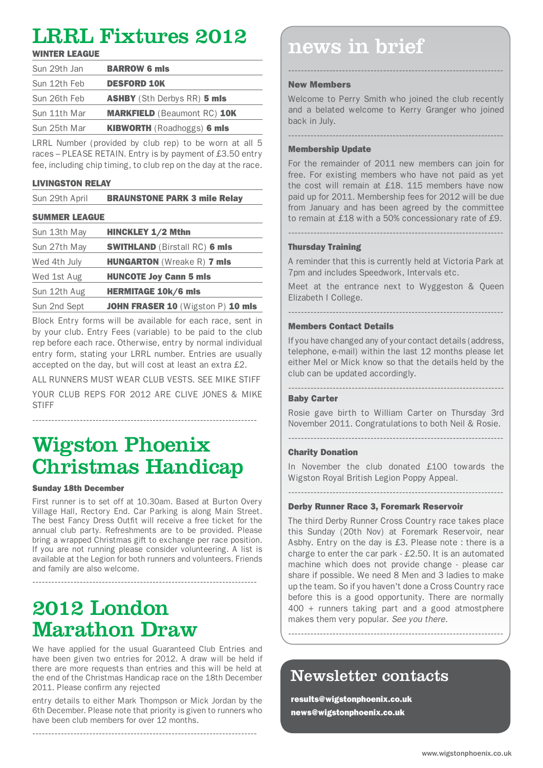### LRRL Fixtures 2012

| Sun 29th Jan | <b>BARROW 6 mls</b>                |
|--------------|------------------------------------|
| Sun 12th Feb | <b>DESFORD 10K</b>                 |
| Sun 26th Feb | <b>ASHBY</b> (Sth Derbys RR) 5 mls |
| Sun 11th Mar | <b>MARKFIELD (Beaumont RC) 10K</b> |
| Sun 25th Mar | <b>KIBWORTH</b> (Roadhoggs) 6 mls  |

LRRL Number (provided by club rep) to be worn at all 5 races – PLEASE RETAIN. Entry is by payment of £3.50 entry fee, including chip timing, to club rep on the day at the race.

### LIVINGSTON RELAY

| Sun 29th April | <b>BRAUNSTONE PARK 3 mile Relay</b> |
|----------------|-------------------------------------|
|----------------|-------------------------------------|

### SUMMER LEAGUE

| Sun 13th May | <b>HINCKLEY 1/2 Mthn</b>             |
|--------------|--------------------------------------|
| Sun 27th May | <b>SWITHLAND (Birstall RC) 6 mls</b> |
| Wed 4th July | <b>HUNGARTON</b> (Wreake R) 7 mls    |
| Wed 1st Aug  | <b>HUNCOTE Joy Cann 5 mls</b>        |
| Sun 12th Aug | <b>HERMITAGE 10k/6 mls</b>           |
| Sun 2nd Sept | JOHN FRASER 10 (Wigston P) 10 mls    |

Block Entry forms will be available for each race, sent in by your club. Entry Fees (variable) to be paid to the club rep before each race. Otherwise, entry by normal individual entry form, stating your LRRL number. Entries are usually accepted on the day, but will cost at least an extra £2.

ALL RUNNERS MUST WEAR CLUB VESTS. SEE MIKE STIFF YOUR CLUB REPS FOR 2012 ARE CLIVE JONES & MIKE **STIFF** 

-----------------------------------------------------------------------

### Wigston Phoenix Christmas Handicap

### Sunday 18th December

First runner is to set off at 10.30am. Based at Burton Overy Village Hall, Rectory End. Car Parking is along Main Street. The best Fancy Dress Outfit will receive a free ticket for the annual club party. Refreshments are to be provided. Please bring a wrapped Christmas gift to exchange per race position. If you are not running please consider volunteering. A list is available at the Legion for both runners and volunteers. Friends and family are also welcome.

-----------------------------------------------------------------------

### 2012 London Marathon Draw

We have applied for the usual Guaranteed Club Entries and have been given two entries for 2012. A draw will be held if there are more requests than entries and this will be held at the end of the Christmas Handicap race on the 18th December 2011. Please confirm any rejected

entry details to either Mark Thompson or Mick Jordan by the 6th December. Please note that priority is given to runners who have been club members for over 12 months.

-----------------------------------------------------------------------

### $\frac{L}{L}$   $\frac{L}{L}$   $\frac{L}{L}$   $\frac{L}{L}$   $\frac{L}{L}$   $\frac{L}{L}$   $\frac{L}{L}$   $\frac{L}{L}$   $\frac{L}{L}$   $\frac{L}{L}$   $\frac{L}{L}$   $\frac{L}{L}$   $\frac{L}{L}$   $\frac{L}{L}$   $\frac{L}{L}$   $\frac{L}{L}$   $\frac{L}{L}$   $\frac{L}{L}$   $\frac{L}{L}$   $\frac{L}{L}$   $\frac{L}{L}$   $\frac{L}{L}$

### New Members

Welcome to Perry Smith who joined the club recently and a belated welcome to Kerry Granger who joined back in July.

--------------------------------------------------------------------

--------------------------------------------------------------------

### Membership Update

For the remainder of 2011 new members can join for free. For existing members who have not paid as yet the cost will remain at £18. 115 members have now paid up for 2011. Membership fees for 2012 will be due from January and has been agreed by the committee to remain at £18 with a 50% concessionary rate of £9.

### Thursday Training

A reminder that this is currently held at Victoria Park at 7pm and includes Speedwork, Intervals etc.

--------------------------------------------------------------------

Meet at the entrance next to Wyggeston & Queen Elizabeth I College.

--------------------------------------------------------------------

### Members Contact Details

If you have changed any of your contact details (address, telephone, e-mail) within the last 12 months please let either Mel or Mick know so that the details held by the club can be updated accordingly.

#### -------------------------------------------------------------------- Baby Carter

Rosie gave birth to William Carter on Thursday 3rd November 2011. Congratulations to both Neil & Rosie.

--------------------------------------------------------------------

### Charity Donation

In November the club donated £100 towards the Wigston Royal British Legion Poppy Appeal.

### --------------------------------------------------------------------

### Derby Runner Race 3, Foremark Reservoir

The third Derby Runner Cross Country race takes place this Sunday (20th Nov) at Foremark Reservoir, near Asbhy. Entry on the day is £3. Please note : there is a charge to enter the car park - £2.50. It is an automated machine which does not provide change - please car share if possible. We need 8 Men and 3 ladies to make up the team. So if you haven't done a Cross Country race before this is a good opportunity. There are normally 400 + runners taking part and a good atmostphere makes them very popular. *See you there.*

--------------------------------------------------------------------

### Newsletter contacts

results@wigstonphoenix.co.uk news@wigstonphoenix.co.uk